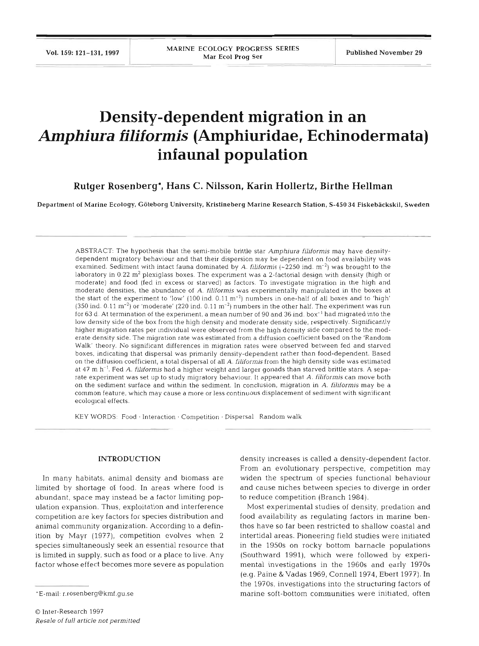Vol. 159: 121-131, 1997

# **Density-dependent migration in an**  *Amphiura filiformis* **(Amphiuridae, Echinodermata) infaunal population**

**Rutger Rosenberg\*, Hans C. Nilsson, Karin Hollertz, Birthe Hellman** 

Department of Marine Ecology, Goteborg University, Kristineberg Marine Research Station, **S-450 34** Fiskebackskil. Sweden

ABSTRACT: The hypothesis that the semi-mobile brittle star Amphiura filiformis may have densitydependent migratory behaviour and that their dispersion may be dependent on food availability was examined. Sediment with intact fauna dominated by A. filiformis  $(-2250 \text{ ind. m}^{-2})$  was brought to the laboratory in 0.22 m<sup>2</sup> plexiglass boxes. The experiment was a 2-factorial design with density (high or moderate) and food (fed in excess or starved) as factors. To investigate migration in the high and moderate densities, the abundance of A. filiformis was experimentally manipulated in the boxes at the start of the experiment to 'low' (100 ind. 0.11 m<sup>-2</sup>) numbers in one-half of all boxes and to 'high'  $(350 \text{ ind. } 0.11 \text{ m}^{-2})$  or 'moderate'  $(220 \text{ ind. } 0.11 \text{ m}^{-2})$  numbers in the other half. The experiment was run for 63 d. At termination of the experiment, a mean number of 90 and 36 ind. box<sup>-1</sup> had migrated into the low density side of the box from the high density and moderate density side, respectively. Significantly higher migration rates per individual were observed from the high density side compared to the moderate density side. The migration rate was estimated from a diffusion coefficient based on the 'Random Walk' theory. No significant differences in migration rates were observed between fed and starved boxes, indicating that dispersal was primarily density-dependent rather than food-dependent. Based on the diffusion coefficient, a total dispersal of all A. filiformis from the high density side was estimated at 47 m h<sup>-1</sup>. Fed A. filiformis had a higher weight and larger gonads than starved brittle stars. A separate experiment was set up to study migratory behaviour. It appeared that A. filiformis can move both on the sediment surface and within the sediment. In conclusion, migration in **A.** filiformis may be a common feature, which may cause a more or less continuous displacement of sediment with significant ecological effects.

KEY WORDS: Food · Interaction · Competition · Dispersal Random walk

#### **INTRODUCTION**

In many habitats, animal density and biomass are limited by shortage of food. In areas where food is abundant, space may instead be a factor limiting population expansion. Thus, exploitation and interference competition are key factors for species distribution and animal community organization. According to a definition by Mayr (1977), competition evolves when 2 species simultaneously seek an essential resource that is limited in supply, such as food or a place to live. Any factor whose effect becomes more severe as population density increases is called a density-dependent factor. From an evolutionary perspective, competition may widen the spectrum of species functional behaviour and cause niches between species to diverge in order to reduce competition (Branch 1984).

Most experimental studies of density, predation and food availability as regulating factors in marine benthos have so far been restricted to shallow coastal and intertidal areas. Pioneering field studies were initiated in the 1950s on rocky bottom barnacle populations (Southward 1991), which were followed by expenmental investigations in the 1960s and early 1970s (e.g. Paine & Vadas 1969, Connell 1974, Ebert 1977). In the 1970s, investigations into the structuring factors of marine soft-bottom communities were initiated, often

<sup>&#</sup>x27;E-mail: r.rosenberg@kmf.gu.se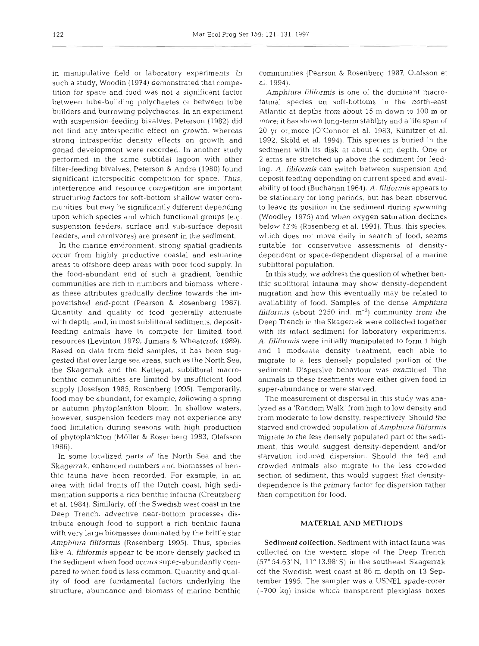in manipulative field or laboratory experiments. In such a study, Woodin (1974) demonstrated that competition for space and food was not a significant factor between tube-building polychaetes or between tube builders and burrowing polychaetes. In an experiment with suspension-feeding bivalves, Peterson (1982) did not find any interspecific effect on growth, whereas strong intraspecific density effects on growth and gonad development were recorded. In another study performed in the same subtidal lagoon with other filter-feeding bivalves, Peterson & Andre (1980) found significant interspecific competition for space. Thus, interference and resource competition are important structuring factors for soft-bottom shallow water communities, but may be significantly different depending upon which species and which functional groups (e.g. suspension feeders, surface and sub-surface deposit feeders, and carnivores) are present in the sediment.

In the marine environment, strong spatial gradients occur from highly productive coastal and estuarine areas to offshore deep areas with poor food supply. In the food-abundant end of such a gradient, benthic communities are rich in numbers and biomass, whereas these attributes gradually decline towards the impoverished end-point (Pearson & Rosenberg 1987). Quantity and quality of food generally attenuate with depth, and, in most sublittoral sediments, depositfeeding animals have to compete for limited food resources (Levinton 1979, Jumars & Wheatcroft 1989). Based on data from field samples, it has been suggested that over large sea areas, such as the North Sea, the Skagerrak and the Kattegat, sublittoral macrobenthic communities are limited by insufficient food supply (Josefson 1985, Rosenberg 1995). Temporarily, food may be abundant, for example, following a spring or autumn phytoplankton bloom. In shallow waters, however, suspension feeders may not experience any food limitation during seasons with high production of phytoplankton (Moller & Rosenberg 1983, Olafsson 1986).

In some localized parts of the North Sea and the Skagerrak, enhanced numbers and biomasses of benthic fauna have been recorded. For example, in an area with tidal fronts off the Dutch coast, high sedimentation supports a rich benthic infauna (Creutzberg et al. 1984). Similarly, off the Swedish west coast in the Deep Trench, advective near-bottom processes distribute enough food to support a rich benthic fauna with very large biomasses dominated by the brittle star *Amphiura filiformis* (Rosenberg 1995). Thus, species like A. *filiformis* appear to be more densely packed in the sediment when food occurs super-abundantly compared to when food is less common. Quantity and quality of food are fundamental factors underlying the structure, abundance and biomass of marine benthic

communities (Pearson & Rosenberg 1987, Olafsson et al. 1994).

*Amphiura filiformis* is one of the dominant macrofauna1 species on soft-bottoms in the north-east Atlantic at depths from about 15 m down to 100 m or more; it has shown long-term stability and a life span of 20 yr or,more (O'Connor et al. 1983, Kiinitzer et al. 1992, Skold et al. 1994). This species is buried in the sediment with its disk at about 4 cm depth. One or 2 arms are stretched up above the sediment for feeding. *A. filiformis* can switch between suspension and deposit feeding depending on current speed and availability of food (Buchanan 1964). *A. filiformis* appears to be stationary for long periods, but has been observed to leave its position in the sediment during spawning (Woodley 1975) and when oxygen saturation declines below 13 % (Rosenberg et al. 1991). Thus, this species, which does not move daily in search of food, seems suitable for conservative assessments of densitydependent or space-dependent dispersal of a marine sublittoral population.

In this study, we address the question of whether benthic sublittoral infauna may show density-dependent migration and how this eventually may be related to availability of food. Samples of the dense *Amphiura*   $filiformis$  (about 2250 ind.  $m^{-2}$ ) community from the Deep Trench in the Skagerrak were collected together with its intact sediment for laboratory experiments. A. *filiformis* were initially manipulated to form 1 high and 1 moderate density treatment, each able to migrate to a less densely populated portion of the sediment. Dispersive behaviour was examined. The animals in these treatments were either given food in super-abundance or were starved.

The measurement of dispersal in this study was analyzed as a 'Random Walk' from high to low density and from moderate to low density, respectively. Should the starved and crowded population of *Amphiura filiformis*  migrate to the less densely populated part of the sediment, this would suggest density-dependent and/or starvation induced dispersion. Should the fed and crowded animals also migrate to the less crowded section of sediment, this would suggest that densitydependence is the primary factor for dispersion rather than competition for food.

## **MATERIAL AND METHODS**

Sediment collection. Sediment with intact fauna was collected on the western slope of the Deep Trench  $(57°54.63' N, 11°13.98' S)$  in the southeast Skagerrak off the Swedish west coast at 86 m depth on 13 September 1995. The sampler was a USNEL spade-corer  $(-700$  kg) inside which transparent plexiglass boxes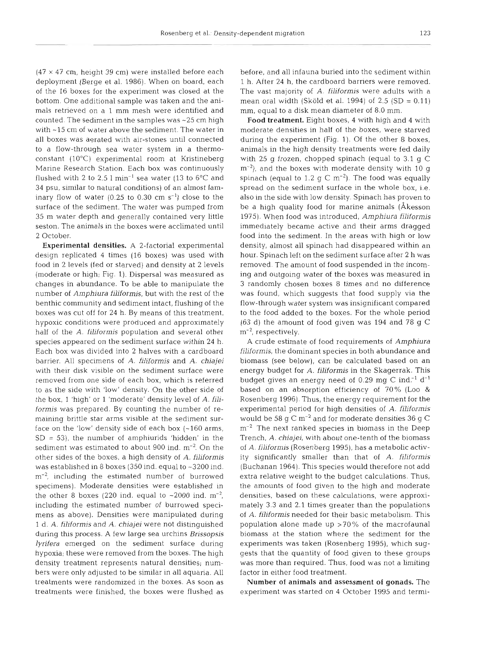$(47 \times 47 \text{ cm}, \text{ height } 39 \text{ cm})$  were installed before each deployment (Berge et al. 1986). When on board, each of the 16 boxes for the experiment was closed at the bottom. One additional sample was taken and the animals retrieved on a l mm mesh were identified and counted. The sediment in the samples was  $\sim$  25 cm high with ~15 cm of water above the sediment. The water in all boxes was aerated with air-stones until connected to a flow-through sea water system in a thermoconstant (lO°C) experimental room at Kristineberg Marine Research Station. Each box was continuously flushed with 2 to 2.5  $1 \text{ min}^{-1}$  sea water (13 to 6°C and 34 psu, similar to natural conditions) of an almost laminary flow of water  $(0.25 \text{ to } 0.30 \text{ cm s}^{-1})$  close to the surface of the sediment. The water was pumped from 35 m water depth and generally contained very little seston. The animals in the boxes were acclimated unti 2 October.

Experimental densities. A 2-factorial experimental design replicated 4 times (16 boxes) was used with food in 2 levels (fed or starved) and density at 2 levels (moderate or high; Fig. 1). Dispersal was measured as changes in abundance. To be able to manipulate the number of *Amphiura filiforrnis,* but with the rest of the benthic community and sediment intact, flushing of the boxes was cut off for 24 h. By means of this treatment, hypoxic conditions were produced and approximately half of the A. *filiformis* population and several other species appeared on the sediment surface within 24 h. Each box was divided into 2 halves with a cardboard barrier. All specimens of A. *filiformis* and *A. chiajei*  with their disk visible on the sediment surface were removed from one side of each box, which is referred to as the side with 'low' density. On the other side of the box, 1 'high' or 1 'moderate' density level of *A. filiformis* was prepared. *By* counting the number of remalning brittle star arms visible at the sediment surface on the 'low' density side of each box  $(-160 \text{ arms})$ ,  $SD = 53$ ), the number of amphiurids 'hidden' in the sediment was estimated to about 900 ind.  $m^{-2}$ . On the other sides of the boxes, a high density of *A. filiformis*  was established in 8 boxes (350 ind. equal to ~3200 ind.  $m<sup>-2</sup>$ , including the estimated number of burrowed specimens). Moderate densities were established in the other 8 boxes (220 ind. equal to  $\sim 2000$  ind. m<sup>-2</sup>, including the estimated number of burrowed specimens as above). Densities were manipulated during 1 d. A. *filiformis* and *A. chiajei* were not distinguished during this process. A few large sea urchins *Brissopsis lyrifera* emerged on the sediment surface during hypoxia; these were removed from the boxes. The high density treatment represents natural densities; numbers were only adjusted to be similar in all aquaria. All treatments were randomized in the boxes. As soon as treatments were finished, the boxes were flushed as

before, and all infauna buried into the sediment within 1 h. After 24 h, the cardboard barriers were removed. The vast majority of *A. filiformis* were adults with a mean oral width (Sköld et al. 1994) of  $2.5$  (SD =  $0.11$ ) mm, equal to a disk mean diameter of 8.0 mm.

Food treatment. Eight boxes, 4 with high and 4 with moderate densities in half of the boxes, were starved during the experiment (Fig. 1). Of the other 8 boxes, animals in the high density treatments were fed daily with 25 g frozen, chopped spinach (equal to 3.1 g C  $\rm m^{-2}$ ), and the boxes with moderate density with 10 g spinach (equal to 1.2 g C  $\rm m^{-2}$ ). The food was equally spread on the sediment surface in the whole box, i.e. also in the side with low density. Spinach has proven to be a high quality food for marine animals (Akesson 1975). When food was introduced, *Amphiura filiformis*  immediately became active and their arms dragged food into the sediment. In the areas with high or low density, almost all spinach had disappeared within an hour. Spinach left on the sediment surface after 2 h was removed. The amount of food suspended in the incoming and outgoing water of the boxes was measured in 3 randomly chosen boxes 8 times and no difference was found, which suggests that food supply via the flow-through water system was insignificant compared to the food added to the boxes. For the whole period (63 d) the amount of food given was 194 and 78 g C  $m^{-2}$ , respectively.

A crude estimate of food requirements of *Amphiura filiformis,* the dominant species in both abundance and biomass (see below), can be calculated based on an energy budget for *A, filiforrnis* in the Skagerrak. This budget gives an energy need of 0.29 mg C ind. $^{-1}$  d $^{-1}$ based on an absorption efficiency of 70% (Loo & Rosenberg 1996). Thus, the energy requirement for the experimental period for high densities of *A. filiformis*  would be 58 g C  $\mathrm{m}^\text{-2}$  and for moderate densities 36 g C  $m^{-2}$  The next ranked species in biomass in the Deep Trench, A. *chiajei,* with about one-tenth of the biomass of A. *filifornlis* (Rosenberg 1995), has a metabolic activity significantly smaller than that of *A. filiformis*  (Buchanan 1964). This species would therefore not add extra relative weight to the budget calculations. Thus, the amounts of food given to the high and moderate densities, based on these calculations, were approximately 3.3 and 2.1 times greater than the populations of A. *filiformis* needed for their basic metabolism. This population alone made up >70% of the macrofaunal biomass at the station where the sediment for the experiments was taken (Rosenberg 1995), which suggests that the quantity of food given to these groups was more than required. Thus, food was not a limiting factor in either food treatment.

Number of animals and assessment of gonads. The experiment was started on 4 October 1995 and termi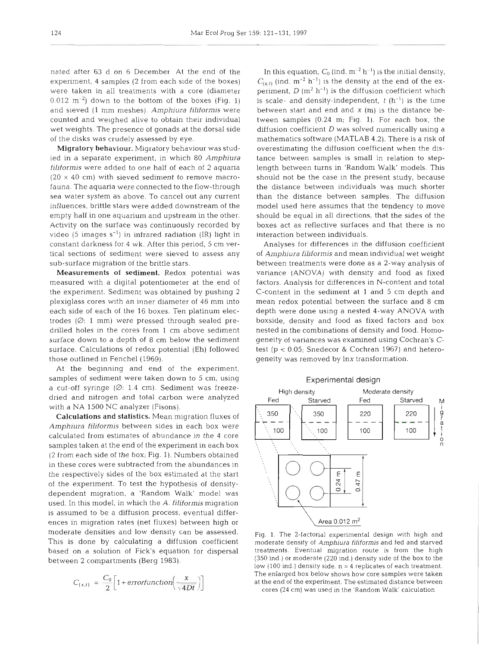nated after 63 d on 6 December At the end of the experiment, 4 samples (2 from each side of the boxes) were taken in all treatments with a core (diameter  $0.012 \text{ m}^{-2}$ ) down to the bottom of the boxes (Fig. 1) and sieved (1 mm meshes). *Amphiura filiformis* were counted and weighed alive to obtain their individual wet weights. The presence of gonads at the dorsal side of the disks was crudely assessed by eye.

Migratory behaviour. Migratory behaviour was studied in a separate experiment, in which 80 *Amphiura filiformis* were added to one half of each of 2 aquaria  $(20 \times 40 \text{ cm})$  with sieved sediment to remove macrofauna. The aquaria were connected to the flow-through sea water system as above. To cancel out any current influences, brittle stars were added downstream of the empty half in one aquarium and upstream in the other. Activity on the surface was continuously recorded by video (5 images  $s^{-1}$ ) in infrared radiation (IR) light in constant darkness for 4 wk. After this period, 5 cm vertical sections of sediment were sieved to assess any sub-surface migration of the brittle stars.

Measurements of sediment. Redox potential was measured with a digital potentiometer at the end of the experiment. Sediment was obtained by pushing 2 plexiglass cores with an inner diameter of 46 mm into each side of each of the 16 boxes. Ten platinum electrodes  $(Ø: 1 mm)$  were pressed through sealed predrilled holes in the cores from 1 cm above sediment surface down to a depth of 8 cm below the sediment surface. Calculations of redox potential (Eh) followed those outlined in Fenchel (1969).

At the beginning and end of the experiment, samples of sediment were taken down to 5 cm, using a cut-off syringe  $(Ø: 1.4 \text{ cm})$ . Sediment was freezedried and nitrogen and total carbon were analyzed with a NA 1500 NC analyzer (Fisons).

Calculations and statistics. Mean migration fluxes of *Arnphiura filiformis* between sides in each box were calculated from estimates of abundance in the 4 core samples taken at the end of the experiment in each box (2 from each side of the box; Fig. 1). Numbers obtained in these cores were subtracted from the abundances in the respectively sides of the box estimated at the start of the experiment. To test the hypothesis of densitydependent migration, a 'Random Walk' model was used. In this model, in which the A, *filiformis* migration is assumed to be a diffusion process, eventual differences in migration rates (net fluxes) between high or moderate densities and low density can be assessed. This is done by calculating a diffusion coefficient based on a solution of Fick's equation for dispersal between 2 compartments (Berg 1983).

$$
C_{(x,t)} = \frac{C_0}{2} \left[ 1 + \text{errorfunction} \left( \frac{x}{\sqrt{4Dt}} \right) \right]
$$

In this equation,  $C_0$  (ind.  $m^{-2}$  h<sup>-1</sup>) is the initial density,  $C_{(x,t)}$  (ind.  $m^{-2}$  h<sup>-1</sup>) is the density at the end of the experiment,  $D (m^2 h^{-1})$  is the diffusion coefficient which is scale- and density-independent,  $t$  (h<sup>-1</sup>) is the time between start and end and **X** (m) is the distance between samples (0.24 m; Fig. 1). For each box, the diffusion coefficient  $D$  was solved numerically using a mathematics software (MATLAB 4.2). There is a risk of overestimating the diffusion coefficient when the distance between samples is small in relation to steplength between turns in 'Random Walk' models. This should not be the case in the present study, because the distance between individuals was much shorter than the distance between samples. The diffusion model used here assumes that the tendency to move should be equal in all directions, that the sides of the boxes act as reflective surfaces and that there is no interaction between individuals.

Analyses for differences in the diffusion coefficient of *Amphiura filiforrnis* and mean individual wet weight between treatments were done as a 2-way analysis of variance (ANOVA) with density and food as fixed factors. Analysis for differences in N-content and total C-content in the sediment at 1 and 5 cm depth and mean redox potential between the surface and 8 cm depth were done using a nested 4-way ANOVA with boxside, density and food as fixed factors and box nested in the combinations of density and food. Homogeneity of variances was examined using Cochran's Ctest ( $p < 0.05$ ; Snedecor & Cochran 1967) and heterogeneity was removed by lnx transformation.



Fig. 1. The 2-factorial experimental design with high and moderate density of *Amphiura fjljformis* and fed and starved treatments. Eventual migration route is from the high (350 ind.) or moderate (220 ind.) density side of the box to the low  $(100 \text{ ind.})$  density side.  $n = 4$  replicates of each treatment. The enlarged box below shows how core samples were taken at the end of the experiment. The estimated distance between cores (24 cm) was used in the 'Random Walk' calculation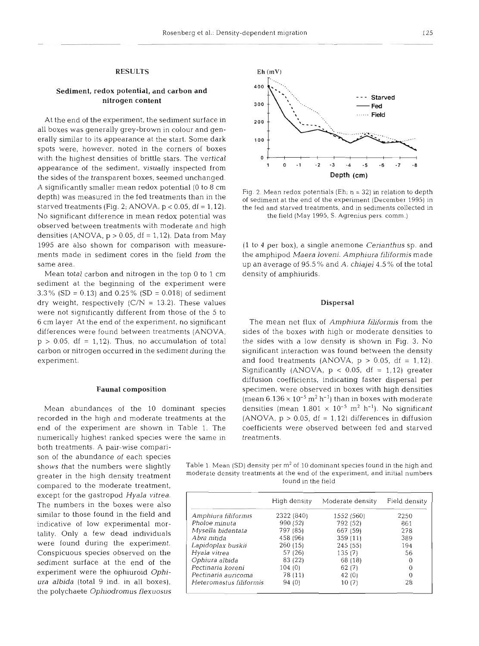# Sediment, redox potential, and carbon and

At the end of the experiment, the sediment surface in all boxes was generally grey-brown in colour and generally similar to its appearance at the start. Some dark **100** spots were, however, noted in the corners of boxes with the highest densities of brittle stars. The vertical **o 1** <sup>I</sup> appearance of the sediment, visually inspected from **<sup>1</sup>0 -1 -2 -3 -4 -5 -6 -7 -8**  the sides of the transparent boxes, seemed unchanged. A significantly smaller mean redox potential (0 to 8 cm<br>depth) was measured in the fed treatments than in the of sediment at the end of the experiment (December 1995) in<br>starved treatments (Fig. 2; ANOVA,  $p < 0.05$ , df = No significant difference in mean redox potential was the field (May 1995, S. Agrenius pers. comm.) observed between treatments with moderate and high densities (ANOVA,  $p > 0.05$ , df = 1,12). Data from May 1995 are also shown for comparison with measure- (1 to 4 per box), a single anemone *Cerianthus* sp. and

Mean total carbon and nitrogen in the top 0 to 1 cm density of amphiurids. sediment at the beginning of the experiment were **3.3%** (SD = 0.13) and 0.25% (SD = 0.018) of sediment dry weight, respectively  $(C/N = 13.2)$ . These values Dispersal were not significantly different from those of the 5 to 6 cm layer At the end of the experiment, no significant The mean net flux of *Amphiura filiformis* from the

numerically highest ranked species were the same in treatments.

both treatments. A pair-wise comparison of the abundance of each species except for the gastropod *Hyala vitrea.*  The numbers in the boxes were also similar to those found in the field and indicative of low experimental mortality. Only a few dead individuals were found during the experiment. Conspicuous species observed on the sediment surface at the end of the experiment were the ophiuroid **Ophi***ura albida* (total 9 ind. in all boxes), the polychaete *Ophiodromus flexuosus* 



the fed and starved treatments, and in sediments collected in

ments made in sediment cores in the field from the the amphipod *Maera loveni. Arnphiura filiformis* made same area. up an average of 95.5 % and A. *chiajei* 4.5 % of the total

differences were found between treatments (ANOVA, sides of the boxes with high or moderate densities to p <sup>&</sup>gt;0.05, df = 1,12). Thus, no accumulation of total the sides with a low density is shown in Fig. **3.** No carbon or nitrogen occurred in the sediment during the significant interaction was found between the density experiment. and food treatments (ANOVA,  $p > 0.05$ , df = 1,12). Significantly (ANOVA,  $p < 0.05$ , df = 1,12) greater diffusion coefficients, indicating faster dispersal per Faunal composition specimen, were observed in boxes with high densities (mean  $6.136 \times 10^{-5}$  m<sup>2</sup> h<sup>-1</sup>) than in boxes with moderate Mean abundances of the 10 dominant species densities (mean  $1.801 \times 10^{-5}$  m<sup>2</sup> h<sup>-1</sup>). No significant recorded in the high and moderate treatments at the  $(ANOVA, p > 0.05, df = 1.12)$  differences in diffusion end of the experiment are shown in Table 1. The coefficients were observed between fed and starved

shows that the numbers were slightly Table 1. Mean (SD) density per  $m^2$  of 10 dominant species found in the high and greater in the high density moderate density treatments at the end of the experiment, and initial numbers found in the field compared to the moderate treatment,

|                         | High density | Moderate density | Field density |
|-------------------------|--------------|------------------|---------------|
| Amphiura filiformis     | 2322 (840)   | 1552 (560)       | 2250          |
| Pholoe minuta           | 990 (52)     | 792 (52)         | 861           |
| Mysella bidentata       | 797 (85)     | 667 (59)         | 278           |
| Abra nitida             | 458 (96)     | 359(11)          | 389           |
| Lapidoplax buskii       | 260(15)      | 245(55)          | 194           |
| Hyala vitrea            | 57(26)       | 135(7)           | 56            |
| Ophiura albida          | 83 (22)      | 68 (18)          | 0             |
| Pectinaria koreni       | 104 (0)      | 62(7)            | 0             |
| Pectinaria auricoma     | 78 (11)      | 42 (0)           | $\theta$      |
| Heteromastus filiformis | 94 (0)       | 10 (7)           | 28            |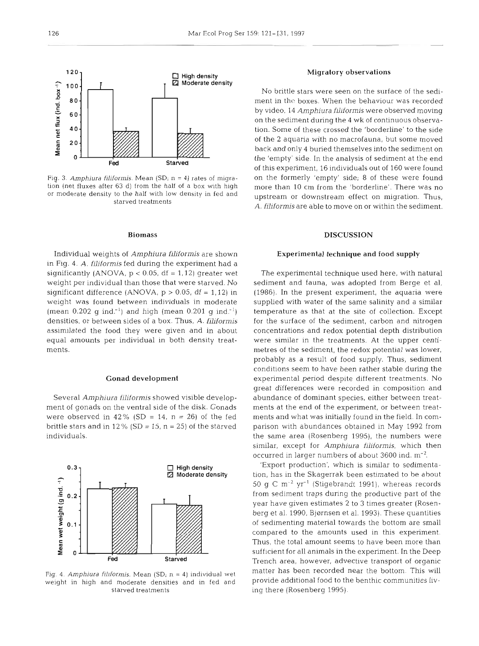

Fig. 3. Amphiura filiformis. Mean *(SD<sub>i</sub>* n = 4) rates of migration (net fluxes after 63 d) from the half of a box with high or moderate density to the half with low density in fed and starved treatments

#### Biomass

Individual weights of *Amphiura filiformis* are shown in Fig. **4.** *A. filiformis* fed during the experiment had a significantly (ANOVA,  $p < 0.05$ , df = 1,12) greater wet weight per individual than those that were starved. No significant difference (ANOVA,  $p > 0.05$ , df = 1,12) in weight was found between individuals in moderate (mean  $0.202$  g ind.<sup>-1</sup>) and high (mean  $0.201$  g ind.<sup>-1</sup>) densities, or between sides of a box. Thus, *A. filiformis*  assimilated the food they were given and in about equal amounts per individual in both density treatments.

## Gonad development

Several Amphiura *filiformis* showed visible development of gonads on the ventral side of the disk. Gonads were observed in 42% (SD = 14,  $n = 26$ ) of the fed brittle stars and in  $12\%$  (SD = 15, n = 25) of the starved individuals.



Fig. 4. *Amphiura filiformis.* Mean (SD, n = 4) individual wet weight in high and moderate densities and in fed and starved treatments

### Migratory observations

No brittle stars were seen on the surface of the sediment in thc boxes. When the behaviour was recorded by video, 14 *Amphiura filiformis* were observed moving on the sediment during the 4 wk of continuous observation. Some of these crossed the 'borderline' to the side of the 2 aquaria with no macrofauna, but some moved back and only 4 buried themselves into the sediment on the 'empty' side. In the analysis of sediment at the end of this experiment, 16 individuals out of 160 were found on the formerly 'empty' side; 8 of these were found more than 10 cm from the 'borderline'. There was no upstream or downstream effect on migration.. Thus, A. *fjliformis* are able to move on or within the sediment.

## **DISCUSSION**

#### Experimental technique and food supply

The experimental technique used here, with natural sediment and fauna, was adopted from Berge et al. (1986). In the present experiment, the aquaria were supplied with water of the same salinity and a similar temperature as that at the site of collection. Except for the surface of the sediment, carbon and nitrogen concentrations and redox potential depth distribution were similar in the treatments. At the upper centimetres of the sediment, the redox potential was lower, probably as a result of food supply. Thus, sediment conditions seem to have been rather stable during the experimental period despite different treatments. No great differences were recorded in composition and abundance of dominant species, either between treatments at the end of the experiment, or between treatments and what was initially found in the field. In comparison with abundances obtained in May 1992 from the same area (Rosenberg 1995), the numbers were similar, except for *Amphiura filiformis,* which then occurred in larger numbers of about  $3600$  ind. m<sup>-2</sup>.

'Export production', which is similar to sedimentation, has in the Skagerrak been estimated to be about 50 g C  $\mathrm{m}^{-2}$  yr<sup>-1</sup> (Stigebrandt 1991), whereas records from sediment traps during the productive part of the year have given estimates 2 to 3 times greater (Rosenberg et al. 1990, Bjørnsen et al. 1993). These quantities of sedimenting material towards the bottom are small compared to the amounts used in this experiment. Thus, the total amount seems to have been more than sufficient for all animals in the experiment. In the Deep Trench area, however, advective transport of organic matter has been recorded near the bottom. This will provide additional food to the benthic communities living there (Rosenberg 1995).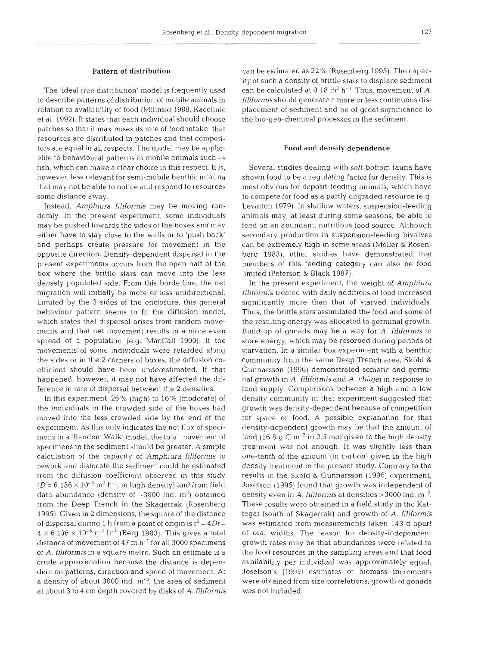#### Pattern of distribution

The 'ideal free distribution' model is frequently used to describe patterns of distribution of mobile animals in relation to availability of food (Milinski 1988, Kacelinic et al. 1992). It states that each individual should choose patches so that it maximises its rate of food Intake, that resources are distributed in patches and that competitors are equal in all respects. The model may be applicable to behavioural patterns in mobile animals such as fish, which can make a clear choice in this respect. It is, however, less relevant for semi-mobile benthic infauna that may not be able to notice and respond to resources some distance away.

Instead, *Amphiura filiformis* may be moving randomly. In the present experiment, some individuals may be pushed towards the sides of the boxes and may either have to stay close to the walls or to 'push back' and perhaps create pressure for movement in the opposite direction. Density-dependent dispersal in the present experiments occurs from the open half of the box where the brittle stars can move into the less densely populated side. From this borderline, the net migration will initially be more or less unidirectional. Limited by the 3 sides of the enclosure, this general behaviour pattern seems to fit the diffusion model, which states that dispersal arises from random movements and that net movement results in a more even spread of a population (e.g. MacCall 1990). If the movements of some individuals were retarded along the sides or in the **2** corners of boxes, the diffusion coefficient should have been underestimated. If that happened, however, it may not have affected the difference in rate of dispersal between the 2 densities.

In this experiment, 26 % (high) to 16 % (moderate) of the individuals in the crowded side of the boxes had moved into the less crowded side by the end of the experiment. As this only indicates the net flux of specimens in a 'Random Walk' model, the total movement of specimens in the sediment should be greater. A simple calculation of the capacity of *Amphiura filiformis* to rework and dislocate the sediment could be estimated from the diffusion coefficient observed in this study  $(D = 6.136 \times 10^{-5} \text{ m}^2 \text{ h}^{-1}$ , in high density) and from field data abundance (density of  $~5000$  ind. m<sup>2</sup>) obtained from the Deep Trench in the Skagerrak (Rosenberg 1995). Given in 2 dimensions, the square of the distance of dispersal during 1 h from a point of origin is  $r^2 = 4Dt =$  $4 \times 6.136 \times 10^{-5}$  m<sup>2</sup> h<sup>-1</sup> (Berg 1983). This gives a total distance of movement of  $47 \text{ m h}^{-1}$  for all 3000 specimens of A. *filiformis* in a square metre. Such an estimate is a crude approximation because the distance is dependent on patterns, direction and speed of movement. At a density of about 3000 ind.  $m^{-2}$ , the area of sediment at about 3 to 4 cm depth covered by disks of A. *filiformis*  can be estimated as 22 % (Rosenberg 1995). The capacity of such a density of brittle stars to displace sediment can be calculated at  $0.18 \text{ m}^2 \text{ h}^{-1}$ . Thus, movement of A. *filiformis* should generate a more or less continuous displacement of sediment and be of great significance to the bio-geo-chemical processes in the sediment.

#### Food and density dependence

Several studies dealing with soft-bottom fauna have shown food to be a regulating factor for density. This is most obvious for deposit-feeding animals, which have to compete for food as a partly degraded resource (e.g. Levinton 1979). In shallow waters, suspension-feeding animals may, at least during some seasons, be able to feed on an abundant, nutritious food source. Although secondary production in suspension-feeding bivalves can be extremely high in some areas (Moller & Rosenberg 1983), other studies have demonstrated that members of this feeding category can also be food limited (Peterson & Black 1987).

In the present experiment, the weight of *Amphiura filiformis* treated with daily additions of food increased significantly more than that of starved individuals. Thus, the brittle stars assimilated the food and some of the resulting energy was allocated to germinal growth. Build-up of gonads may be a way for *A. filiformis* to store energy, which may be resorbed during periods of starvation. In a similar box experiment with a benthic community from the same Deep Trench area, Skold & Gunnarsson (1996) demonstrated somatic and germinal growth in A. *filiformis* and *A. chiajei* in response to food supply. Comparisons between a high and a low density community in that experiment suggested that growth was density-dependent because of competition for space or food. A possible explanation for that density-dependent growth may be that the amount of food (16.8  $\sigma$  C m<sup>-2</sup> in 2.5 mo) given to the high density treatment was not enough. It was slightly less than one-tenth of the amount (in carbon) given in the high density treatment in the present study. Contrary to the results in the Skold & Gunnarsson (1996) experiment, Josefson (1995) found that growth was independent of density even in *A. filiformis* at densities >3000 ind. m-2. These results were obtained in a field study in the Kattegat (south of Skagerrak) and growth of *A. filiformis*  was estimated from measurements taken 143 d apart of oral widths. The reason for density-independent growth rates may be that abundances were related to the food resources in the sampling areas and that food availability per individual was approximately equal. Josefson's (1995) estimates of biomass increments were obtained from size correlations; growth of gonads was not included.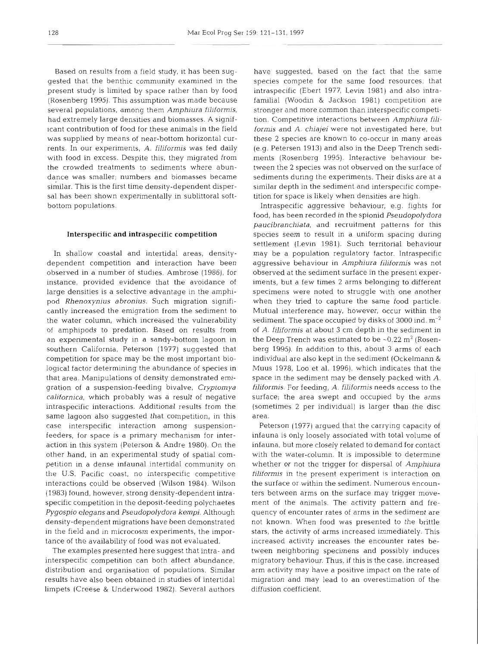Based on results from a field study, it has been suggested that the benthic community examined in the present study is limited by space rather than by food (Rosenberg 1995). This assumption was made because several populations, among them Amphiura filiformis, had extremely large densities and biomasses. A significant contribution of food for these animals in the field was supplied by means of near-bottom horizontal currents. In our experiments, A. filiformis was fed daily with food in excess. Despite this, they migrated from the crowded treatments to sediments where abundance was smaller; numbers and biomasses became similar. This is the first time density-dependent dispersal has been shown experimentally in sublittoral softbottom populations.

### **Interspecific and intraspecific competition**

In shallow coastal and intertidal areas, densitydependent competition and interaction have been observed in a number of studies. Ambrose (1986), for instance, provided evidence that the avoidance of large densities is a selective advantage in the amphipod Rhenoxynius abronius. Such migration significantly increased the emigration from the sediment to the water column, which increased the vulnerability of amphipods to predation. Based on results from an experimental study in a sandy-bottom lagoon in southern California, Peterson (1977) suggested that competition for space may be the most important biological factor determining the abundance of species in that area. Manipulations of density demonstrated emigration of a suspension-feeding bivalve, Cryptomya californica, which probably was a result of negative intraspecific interactions. Additional results from the same lagoon also suggested that competition, in this case interspecific interaction among suspensionfeeders, for space is a primary mechanism for interaction in this system (Peterson & Andre 1980). On the other hand, in an experimental study of spatial competition in a dense infaunal intertidal community on the U.S. Pacific coast, no interspecific competitive interactions could be observed (Wilson 1984). Wilson (1983) found, however, strong density-dependent intraspecific competition in the deposit-feeding polychaetes Pygospio elegans and Pseudopolydora kernpi. Although density-dependent migrations have been demonstrated in the field and in microcosm experiments, the importance of the availability of food was not evaluated.

The examples presented here suggest that intra- and interspecific competition can both affect abundance. distribution and organisation of populations. Similar results have also been obtained in studies of intertidal limpets (Creese & Underwood 1982). Several authors have suggested, based on the fact that the same specles compete for the same food resources, that intraspecific (Ebert 1977, Levin 1981) and also intrafamilial (Woodin & Jackson 1981) competition are stronger and more common than interspecific competition. Competitive interactions between Amphiura filiformis and **A.** chiajei were not investigated here, but these 2 species are known to CO-occur in many areas (e.g. Petersen 1913) and also in the Deep Trench sediments (Rosenberg 1995). Interactive behaviour between the 2 species was not observed on the surface of sediments during the experiments. Their disks are at a similar depth in the sediment and interspecific competition for space is likely when densities are high.

Intraspecific aggressive behaviour, e.g. fights for food, has been recorded in the spionid Pseudopolydora paucibranchiata, and recruitment patterns for this species seem to result in a uniform spacing during settlement (Levin 1981). Such territorial behaviour may be a population regulatory factor. Intraspecific aggressive behaviour in Amphiura filiformis was not observed at the sediment surface in the present experiments, but a few times 2 arms belonging to different specimens were noted to struggle with one another when they tried to capture the same food particle. Mutual interference may, however, occur within the sediment. The space occupied by disks of 3000 ind.  $m^{-2}$ of A. filiformis at about 3 cm depth in the sediment in the Deep Trench was estimated to be  $\sim 0.22$  m<sup>2</sup> (Rosenberg 1995). In addition to this, about **3** arms of each individual are also kept in the sediment (Ockelmann & Muus 1978, Loo et al. 1996), which indicates that the space in the sediment may be densely packed with A. filiformis. For feeding, A. filiformis needs access to the surface; the area swept and occupied by the arms (sometimes 2 per individual) is larger than the disc area.

Peterson (1977) argued that the carrying capacity of infauna is only loosely associated with total volume of infauna, but more closely related to demand for contact with the water-column. It is impossible to determine whether or not the trigger for dispersal of Amphiura filiformis in the present experiment is interaction on the surface or within the sediment. Numerous encounters between arms on the surface may trigger movement of the animals. The activity pattern and frequency of encounter rates of arms in the sediment are not known. When food was presented to the brittle stars, the activity of arms increased immediately. This increased activity increases the encounter rates between neighboring specimens and possibly induces migratory behaviour. Thus, if this is the case, increased arm activity may have a positive impact on the rate of migration and may lead to an overestimation of the diffusion coefficient.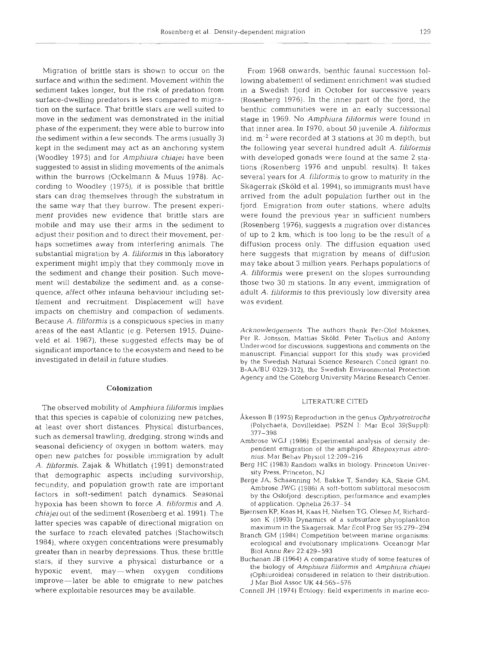Migration of brittle stars is shown to occur on the surface and within the sediment. Movement within the sediment takes longer, but the risk of predation from surface-dwelling predators is less compared to migration on the surface. That brittle stars are well suited to move in the sediment was demonstrated in the initial phase of the experiment; they were able to burrow into the sediment within a few seconds. The arms (usually 3) kept in the sediment may act as an anchoring system (Woodley 1975) and for Amphiura chiajei have been suggested to assist in sliding movements of the animals within the burrows (Ockelmann & Muus 1978). According to Woodley (1975), it is possible that brittle stars can drag themselves through the substratum in the same way that they burrow. The present experiment provides new evidence that brittle stars are mobile and may use their arms in the sediment to adjust their position and to direct their movement, perhaps sometimes away from interfering animals. The substantial migration by A. filiformis in this laboratory experiment might imply that they commonly move in the sediment and change their position. Such movement will destabilize the sediment and, as a consequence, affect other infauna behaviour including settlement and recruitment. Displacement will have impacts on chemistry and compaction of sediments. Because A. filiformis is a conspicuous species in many areas of the east Atlantic (e.g. Petersen 1915, Duineveld et al. 1987), these suggested effects may be of significant importance to the ecosystem and need to be investigated in detail in future studies.

#### Colonization

The observed mobility of Amphiura filiformis implies that this species is capable of colonizing new patches, at least over short distances. Physical disturbances, such as demersal trawling, dredging, strong winds and seasonal deficiency of oxygen in bottom waters, may open new patches for possible immigration by adult A. filiformis. Zajak & Whitlatch (1991) demonstrated that demographic aspects including survivorship, fecundity, and population growth rate are important factors in soft-sediment patch dynamics. Seasonal hypoxia has been shown to force A. filiformis and A. chiajeiout of the sediment (Rosenberg et al. 1991). The latter species was capable of directional migration on the surface to reach elevated patches (Stachowitsch 1984), where oxygen concentrations were presumably greater than in nearby depressions. Thus, these brittle stars, if they survive a physical disturbance or a hypoxic event, may-when oxygen conditions improve-later be able to emigrate to new patches where exploitable resources may be available.

From 1968 onwards, benthic faunal succession following abatement of sediment enrichment was studied in a Swedish fjord in October for successive years (Rosenberg 1976). In the inner part of the fjord, the benthic communities were in an early successional stage in 1969. No Amphiura filiformis were found in that inner area. In 1970, about 50 juvenile A. filiformis ind.  $m^{-2}$  were recorded at 3 stations at 30 m depth, but the following year several hundred adult A. filiformis with developed gonads were found at the same 2 stations (Rosenberg 1976 and unpubl. results). It takes several years for A. filiformis to grow to maturity in the Skagerrak (Skold et al. 1994), so immigrants must have arrived from the adult population further out in the fjord. Emigration from outer stations, where adults were found the previous year in sufficient numbers (Rosenberg 1976), suggests a migration over distances of up to 2 km, which is too long to be the result of a diffusion process only. The diffusion equation used here suggests that migration by means of diffusion may take about 3 million years. Perhaps populations of A, filiformis were present on the slopes surrounding those two 30 m stations. In any event, immigration of adult A. filiformis to this previously low diversity area was evident.

Acknowledgements. The authors thank Per-Olof Moksnes, Per R. Jonsson, Mattias Sköld, Peter Tiselius and Antony Underwood for discussions, suggestions and comments on the manuscript. Financial support for this study was provided by the Swedish Natural Science Research Concil (grant no. B-AA/BU 0329-312), the Swedish Environmental Protection Agency and the Goteborg University Marine Research Center.

#### LlTERATURE CITED

- Akesson B (1975) Reproduction in the genus Ophryotrotrocha (Polychaeta, Dovilleidae). PSZN I: Mar Ecol 39(Suppl): 377-398
- Ambrose WGJ (1986) Experimental analysis of density dependent emigration of the amphipod Rhepoxynus abronius. Mar Behav Physlol 12:209-216
- Berg HC (1983) Random walks in biology. Princeton University Press, Princeton, NJ
- Berge JA, Schaanning M, Bakke T, Sandøy KA, Skeie GM, Ambrose JWG (1986) A soft-bottom sublittoral mesocosm by the Oslofjord: description, performance and examples of application. Ophelia 26:37-54
- Bjernsen KP, Kaas H, Kaas H, Nielsen TG, Olesen M, Richardson K (1993) Dynamics of a subsurface phytoplankton maximum in the Skagerrak. Mar Ecol Prog Ser 95:279-294
- Branch GM (1984) Competition between marine organisms: ecological and evolutionary implications. Oceanogr Mar Biol Annu Rev 22:429–59
- Buchanan JB (1964) A comparative study of some features of the biology of Amphiura filiformis and Amphiura chiajei (Ophiuroidea) considered in relation to their distribution. J Mar Biol Assoc UK 44:565-536
- Connell JH (1974) Ecology: field experiments in marine eco-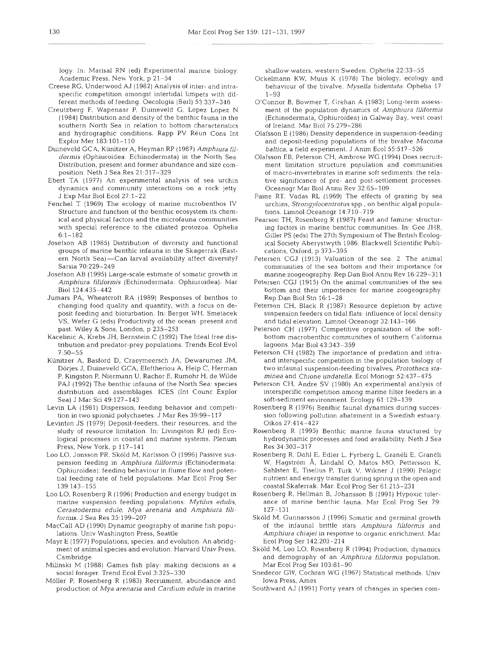logy. In: Marisal RN (ed) Experimental marine biology. Academic Press, Nen York, p 21-54

- Creese RG, Underwood AJ (1982) Analysis of inter- and intraspecific competition amongst intertidal limpets with different methods of feeding. Oecologia (Berl) 53:337-346
- Creutzberg F, Wapenaar P, Duineveld G, Lopez Lopez N (1984) Distribution and density of the benthic fauna in the southern North Sea in relation to bottom characteristics and hydrographic conditions. Rapp PV Réun Cons Int Explor Mer 183:lOl-110
- Duineveld GCA, Kunitzer A, Heyman RP (1987) Amphiura filiformis (Ophiuroidea: Echinodermata) in the North Sea. Distribution, present and former abundance and size composition. Neth J Sea Res 21:317-329
- Ebert TA (1977) An experimental analysis of sea urchin dynamics and community interactions on a rock jetty. J Exp Mar Biol Ecol 27:l-22
- Fenchel T (1969) The ecology of marine microbenthos IV Structure and function of the benthic ecosystem its chemical and physical factors and the microfauna communities with special reference to the ciliated protozoa. Ophelia 6:l-182
- Josefson AB (1985) Distribution of diversity and functional groups of marine benthic infauna in the Skagerrak (Eastern North Sea)-Can larval availability affect diversity? Sarsla 70:229-249
- Josefson AB (1995) Large-scale estimate of somatic growth In Amphiura filiformis (Echinodermata: Ophiuroidea). Mar Biol 124:435-442
- Jumars PA, Wheatcroft RA (1989) Responses of benthos to changing food quality and quantity, with a focus on deposit feeding and bioturbation. In: Berger WH, Smetacek VS. Wefer G (eds) Productivity of the ocean: present and past. Wiley & Sons, London, p 235-253
- Kacelinic A, Krebs JH, Bernstein C (1992) The Ideal free distribution and predator-prey populations. Trends Ecol Evol 7:50-55
- Kiinitzer A, Basford D, Craeymeersch JA, Dewarumez JM. Dorjes J, Duineveld GCA, Eleftheriou A, Heip C, Herman P. Kingston P, Niermann U, Rachor E, Rumohr H, de Wilde PAJ (1992) The benthic infauna of the North Sea: species distribution and assemblages. ICES (Int Counc Explor Sea) J Mar Sci 49:127-143
- Levin LA (1981) Dispersion, feeding behavior and competltion in two spionid polychaetes. J Mar Res 39:99-117
- Levinton JS (1979) Deposit-feeders, their resources, and the study of resource limitation. In: Livingston RJ (ed) Ecological processes in coastal and marine systems. Plenum Press, New York, p 117-141
- Loo LO, Jonsson PR, Sköld M, Karlsson O (1996) Passive suspension feeding in Amphiura filiformis (Echinodermata: Ophiuroidea): feeding behaviour in flume flow and potential feeding rate of field populations. Mar Ecol Prog Ser 139:143-155
- Loo LO, Rosenberg R (1996) Production and energy budget in marine suspension feeding populations: Mytilus edulis, Cerastoderma edule, Mya arenaria and Amphiura filiformis. J Sea Res 35:199-207
- Maccall AD (1990) Dynamic geography of marine fish populations. Univ Washington Press, Seattle
- Mayr E (1977) Populations, species, and evolution. An abridgment of animal species and evolution. Harvard Univ Press, Cambridge
- Milinski M (1988) Games fish play: making decisions as a social forager. Trend Ecol Evol 3:325-330
- Möller P, Rosenberg R (1983) Recruiment, abundance and production of Mya arenaria and Cardium edule in marine

shallow waters. western Sweden. Ophelia 22:33-55

- Ockelmann KW. Muus K (1978) The biology, ecology and behaviour of the bivalve, Mysella bidentata. Ophelia 17-1-93
- O'Connor B, Bowmer T, Cirehan A (1983) Long-term assessment of the population dynamics of Amphjura filiformis (Echinodermata, Ophiuroidea) in Galway Bay, west coast of Ireland. Mar Biol 75:279-286
- Olafsson E (1986) Density dependence in suspension-feeding and deposit-feeding populations of the bivalve Macoma baltica, a field experiment. J Anim Ecol 55:517-526
- Olafsson EB, Peterson CH, Ambrose WG (1994) Does recruitment limitation structure population and communities of macro-invertebrates in marine soft sediments: the relative significance of pre- and post-settlement processes. Oceanogr Mar Biol Annu Rev 32:65-109
- Paine RT, Vadas RL (1969) The effects of grazing by sea urchins, Strongylocentrotus spp., on benthic algal populations. Limnol Oceanogr 14:710-719
- Pearson TH, Rosenberg R (1987) Feast and famine: structuring factors in marine benthic communities. In: Gee JHR, Giller PS (eds) The 27th Symposium of The British Ecological Society Aberystwyth 1986. Blackwell Scientific Publications, Oxford, p 373-395
- Petersen CGJ (1913) Valuation of the sea. 2. The animal communities of the sea bottom and their importance for marine zoogeography. Rep Dan Biol Annu Rev 16.229-31 1
- Petersen CGJ (1915) On the animal communities of the sea bottom and their importence for marine zoogeography. Rep Dan Biol Stn 16:l-28
- Peterson CH, Black R (1987) Resource depletion by active suspension feeders on tidal flats: influence of local density and tidal elevation. Limnol Oceanogr 32.143-166
- Peterson CH (1977) Competitive organization of the softbottom macrobenthlc communities of southern California lagoons. Mar Biol43:343-359
- Peterson CH (1982) The importance of predation and intraand interspecific competition in the population biology of two infaunal suspension-feeding bivalves, Protothaca staminea and Chione undatella. Ecol Monogr 52:437-475
- Peterson CH, Andre SV (1980) An experimental analysis of interspecific competition among marine filter feeders in a soft-sediment environment. Ecology 61:129-139
- Rosenberg R (1976) Benthic fauna1 dynamics during succession following pollution abatement in a Swedish estuary. Oikos 27:414-427
- Rosenberg R (1995) Benthic marine fauna structured by hydrodynamic processes and food availability. Neth J Sea Res 34303-317
- Rosenberg R, Dahl E, Edler L, Fyrberg L, Graneli E, Graneli W, Hagström Å, Lindahl O, Matos MO, Pettersson K, Sahlsten E, Tiselius P, Turk V, Wikner J (1990) Pelagic nutrient and energy transfer during spnng In the open and coastal Skaferrak. Mar. Ecol Prog Ser 61:215-231
- Rosenberg R, Hellman B, Johansson B (1991) Hypoxic tolerance of marine benthic fauna. Mar Ecol Prog Ser 79: 127-131
- Sköld M, Gunnarsson J (1996) Somatic and germinal growth of the infaunal brittle stars Amphiura fillformis and Amphiura chiajei in response to organic enrichment. Mar Ecol Prog Ser 142:203-214
- Sköld M, Loo LO, Rosenberg R (1994) Production, dynamics and demography of an Amphiura filiformis population. Mar Ecol Prog Ser 103:81-90
- Snedecor GW, Cochran WG (1967) Statistical methods. Univ Iowa Press, Arnes
- Southward AJ (1991) Forty years of changes in specles com-